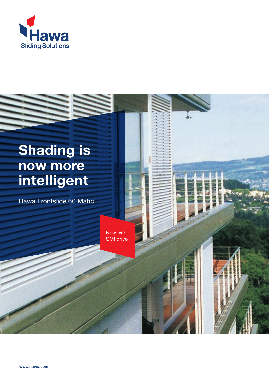



Hawa Frontslide 60 Matic

New with SMI drive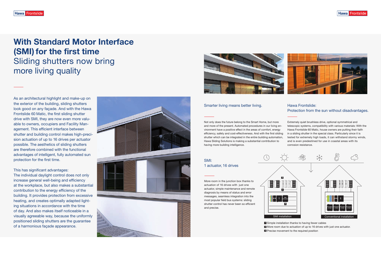As an architectural highlight and make-up on the exterior of the building, sliding shutters look good on any façade. And with the Hawa Frontslide 60 Matic, the first sliding shutter drive with SMI, they are now even more valuable to owners, occupiers and Facility Management. This efficient interface between shutter and building control makes high-precision actuation of up to 16 drives per actuator possible. The aesthetics of sliding shutters are therefore combined with the functional advantages of intelligent, fully automated sun protection for the first time.

This has significant advantages:

The individual daylight control does not only increase general well-being and efficiency at the workplace, but also makes a substantial contribution to the energy efficiency of the building. It provides protection from excessive heating, and creates optimally adapted lighting situations in accordance with the time of day. And also makes itself noticeable in a visually agreeable way, because the uniformly positioned sliding shutters are the guarantee of a harmonious façade appearance.





## With Standard Motor Interface (SMI) for the first time Sliding shutters now bring more living quality

More room in the junction box thanks to actuation of 16 drives with just one actuator, simple maintenance and remote diagnosis by means of status and error messages, seamless integration into the most popular field bus systems: sliding shutter control has never been so efficient and precise.

SMI: 1 actuator, 16 drives

Not only does the future belong to the Smart Home, but more and more of the present. Automated procedures in our living environment have a positive effect in the areas of comfort, energy efficiency, safety and cost-effectiveness. And with the first sliding shutter which can be integrated in the entire building automation, Hawa Sliding Solutions is making a substantial contribution to having more building intelligence. Extremely quiet brushless drive, optional symmetrical and telescopic systems, compatibility with various materials: With the Hawa Frontslide 60 Matic, house owners are putting their faith in a sliding shutter in the special class. Particularly since it is tested for extremely high loads, it can withstand stormy winds, and is even predestined for use in coastal areas with its corrosion resistance.

Smarter living means better living.

## Hawa Frontslide: Protection from the sun without disadvantages.

**1** Simple installation thanks to having fewer cables

**2** More room due to actuation of up to 16 drives with just one actuator.

**8** Precise movement to the required position